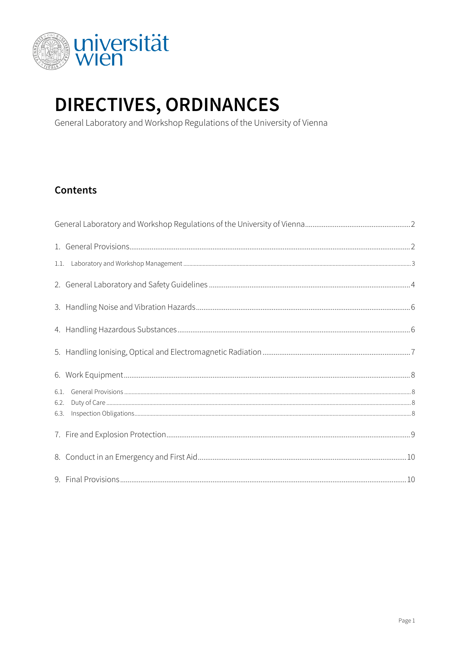

# DIRECTIVES, ORDINANCES

General Laboratory and Workshop Regulations of the University of Vienna

### **Contents**

| 6.2. |  |
|------|--|
| 6.3. |  |
|      |  |
|      |  |
|      |  |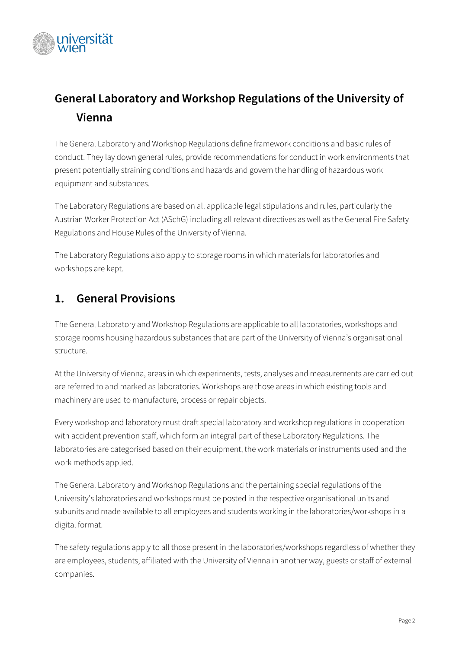

# <span id="page-1-0"></span>**General Laboratory and Workshop Regulations of the University of Vienna**

The General Laboratory and Workshop Regulations define framework conditions and basic rules of conduct. They lay down general rules, provide recommendations for conduct in work environments that present potentially straining conditions and hazards and govern the handling of hazardous work equipment and substances.

The Laboratory Regulations are based on all applicable legal stipulations and rules, particularly the Austrian Worker Protection Act (ASchG) including all relevant directives as well as the General Fire Safety Regulations and House Rules of the University of Vienna.

The Laboratory Regulations also apply to storage rooms in which materials for laboratories and workshops are kept.

# <span id="page-1-1"></span>**1. General Provisions**

The General Laboratory and Workshop Regulations are applicable to all laboratories, workshops and storage rooms housing hazardous substances that are part of the University of Vienna's organisational structure.

At the University of Vienna, areas in which experiments, tests, analyses and measurements are carried out are referred to and marked as laboratories. Workshops are those areas in which existing tools and machinery are used to manufacture, process or repair objects.

Every workshop and laboratory must draft special laboratory and workshop regulations in cooperation with accident prevention staff, which form an integral part of these Laboratory Regulations. The laboratories are categorised based on their equipment, the work materials or instruments used and the work methods applied.

The General Laboratory and Workshop Regulations and the pertaining special regulations of the University's laboratories and workshops must be posted in the respective organisational units and subunits and made available to all employees and students working in the laboratories/workshops in a digital format.

The safety regulations apply to all those present in the laboratories/workshops regardless of whether they are employees, students, affiliated with the University of Vienna in another way, guests or staff of external companies.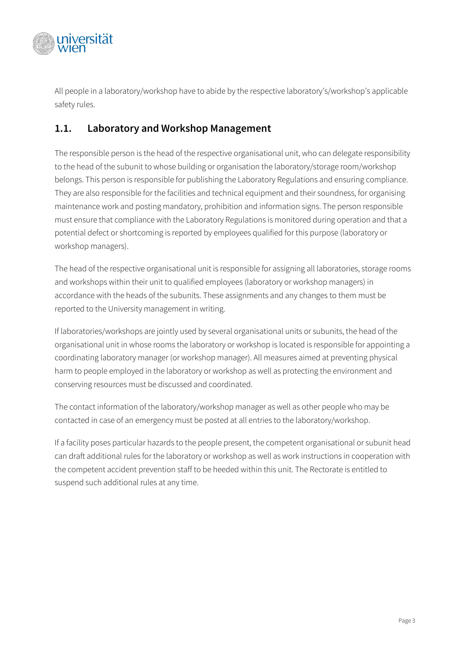

All people in a laboratory/workshop have to abide by the respective laboratory's/workshop's applicable safety rules.

### <span id="page-2-0"></span>**1.1. Laboratory and Workshop Management**

The responsible person is the head of the respective organisational unit, who can delegate responsibility to the head of the subunit to whose building or organisation the laboratory/storage room/workshop belongs. This person is responsible for publishing the Laboratory Regulations and ensuring compliance. They are also responsible for the facilities and technical equipment and their soundness, for organising maintenance work and posting mandatory, prohibition and information signs. The person responsible must ensure that compliance with the Laboratory Regulations is monitored during operation and that a potential defect or shortcoming is reported by employees qualified for this purpose (laboratory or workshop managers).

The head of the respective organisational unit is responsible for assigning all laboratories, storage rooms and workshops within their unit to qualified employees (laboratory or workshop managers) in accordance with the heads of the subunits. These assignments and any changes to them must be reported to the University management in writing.

If laboratories/workshops are jointly used by several organisational units or subunits, the head of the organisational unit in whose rooms the laboratory or workshop is located is responsible for appointing a coordinating laboratory manager (or workshop manager). All measures aimed at preventing physical harm to people employed in the laboratory or workshop as well as protecting the environment and conserving resources must be discussed and coordinated.

The contact information of the laboratory/workshop manager as well as other people who may be contacted in case of an emergency must be posted at all entries to the laboratory/workshop.

If a facility poses particular hazards to the people present, the competent organisational or subunit head can draft additional rules for the laboratory or workshop as well as work instructions in cooperation with the competent accident prevention staff to be heeded within this unit. The Rectorate is entitled to suspend such additional rules at any time.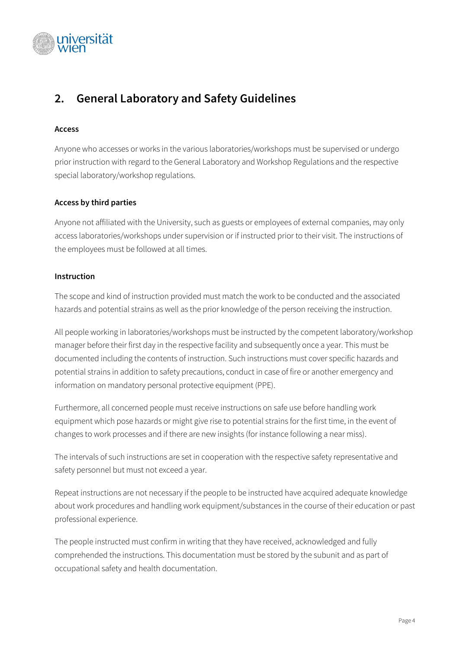

# <span id="page-3-0"></span>**2. General Laboratory and Safety Guidelines**

#### **Access**

Anyone who accesses or works in the various laboratories/workshops must be supervised or undergo prior instruction with regard to the General Laboratory and Workshop Regulations and the respective special laboratory/workshop regulations.

#### **Access by third parties**

Anyone not affiliated with the University, such as guests or employees of external companies, may only access laboratories/workshops under supervision or if instructed prior to their visit. The instructions of the employees must be followed at all times.

#### **Instruction**

The scope and kind of instruction provided must match the work to be conducted and the associated hazards and potential strains as well as the prior knowledge of the person receiving the instruction.

All people working in laboratories/workshops must be instructed by the competent laboratory/workshop manager before their first day in the respective facility and subsequently once a year. This must be documented including the contents of instruction. Such instructions must cover specific hazards and potential strains in addition to safety precautions, conduct in case of fire or another emergency and information on mandatory personal protective equipment (PPE).

Furthermore, all concerned people must receive instructions on safe use before handling work equipment which pose hazards or might give rise to potential strains for the first time, in the event of changes to work processes and if there are new insights (for instance following a near miss).

The intervals of such instructions are set in cooperation with the respective safety representative and safety personnel but must not exceed a year.

Repeat instructions are not necessary if the people to be instructed have acquired adequate knowledge about work procedures and handling work equipment/substances in the course of their education or past professional experience.

The people instructed must confirm in writing that they have received, acknowledged and fully comprehended the instructions. This documentation must be stored by the subunit and as part of occupational safety and health documentation.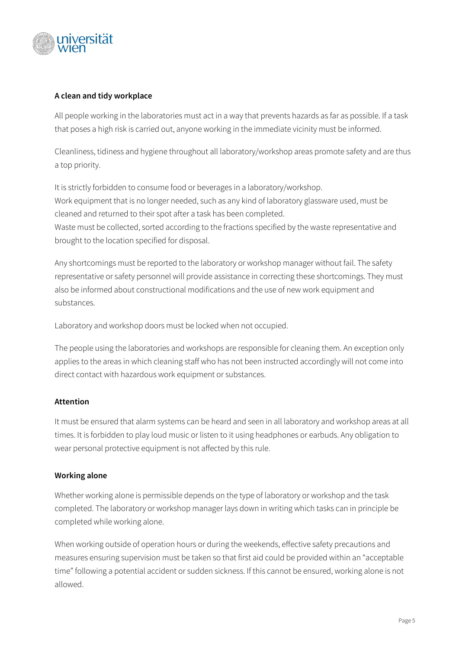

#### **A clean and tidy workplace**

All people working in the laboratories must act in a way that prevents hazards as far as possible. If a task that poses a high risk is carried out, anyone working in the immediate vicinity must be informed.

Cleanliness, tidiness and hygiene throughout all laboratory/workshop areas promote safety and are thus a top priority.

It is strictly forbidden to consume food or beverages in a laboratory/workshop. Work equipment that is no longer needed, such as any kind of laboratory glassware used, must be cleaned and returned to their spot after a task has been completed. Waste must be collected, sorted according to the fractions specified by the waste representative and

brought to the location specified for disposal.

Any shortcomings must be reported to the laboratory or workshop manager without fail. The safety representative or safety personnel will provide assistance in correcting these shortcomings. They must also be informed about constructional modifications and the use of new work equipment and substances.

Laboratory and workshop doors must be locked when not occupied.

The people using the laboratories and workshops are responsible for cleaning them. An exception only applies to the areas in which cleaning staff who has not been instructed accordingly will not come into direct contact with hazardous work equipment or substances.

#### **Attention**

It must be ensured that alarm systems can be heard and seen in all laboratory and workshop areas at all times. It is forbidden to play loud music or listen to it using headphones or earbuds. Any obligation to wear personal protective equipment is not affected by this rule.

#### **Working alone**

Whether working alone is permissible depends on the type of laboratory or workshop and the task completed. The laboratory or workshop manager lays down in writing which tasks can in principle be completed while working alone.

When working outside of operation hours or during the weekends, effective safety precautions and measures ensuring supervision must be taken so that first aid could be provided within an "acceptable time" following a potential accident or sudden sickness. If this cannot be ensured, working alone is not allowed.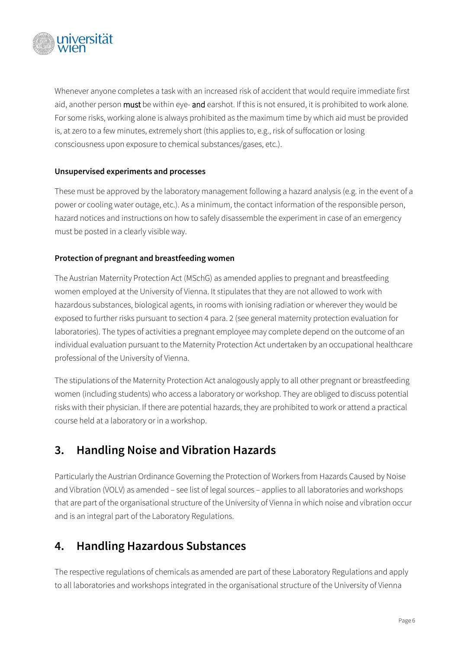

Whenever anyone completes a task with an increased risk of accident that would require immediate first aid, another person must be within eye- and earshot. If this is not ensured, it is prohibited to work alone. For some risks, working alone is always prohibited as the maximum time by which aid must be provided is, at zero to a few minutes, extremely short (this applies to, e.g., risk of suffocation or losing consciousness upon exposure to chemical substances/gases, etc.).

#### **Unsupervised experiments and processes**

These must be approved by the laboratory management following a hazard analysis (e.g. in the event of a power or cooling water outage, etc.). As a minimum, the contact information of the responsible person, hazard notices and instructions on how to safely disassemble the experiment in case of an emergency must be posted in a clearly visible way.

#### **Protection of pregnant and breastfeeding women**

The Austrian Maternity Protection Act (MSchG) as amended applies to pregnant and breastfeeding women employed at the University of Vienna. It stipulates that they are not allowed to work with hazardous substances, biological agents, in rooms with ionising radiation or wherever they would be exposed to further risks pursuant to section 4 para. 2 (see general maternity protection evaluation for laboratories). The types of activities a pregnant employee may complete depend on the outcome of an individual evaluation pursuant to the Maternity Protection Act undertaken by an occupational healthcare professional of the University of Vienna.

The stipulations of the Maternity Protection Act analogously apply to all other pregnant or breastfeeding women (including students) who access a laboratory or workshop. They are obliged to discuss potential risks with their physician. If there are potential hazards, they are prohibited to work or attend a practical course held at a laboratory or in a workshop.

### <span id="page-5-0"></span>**3. Handling Noise and Vibration Hazards**

Particularly the Austrian Ordinance Governing the Protection of Workers from Hazards Caused by Noise and Vibration (VOLV) as amended – see list of legal sources – applies to all laboratories and workshops that are part of the organisational structure of the University of Vienna in which noise and vibration occur and is an integral part of the Laboratory Regulations.

### <span id="page-5-1"></span>**4. Handling Hazardous Substances**

The respective regulations of chemicals as amended are part of these Laboratory Regulations and apply to all laboratories and workshops integrated in the organisational structure of the University of Vienna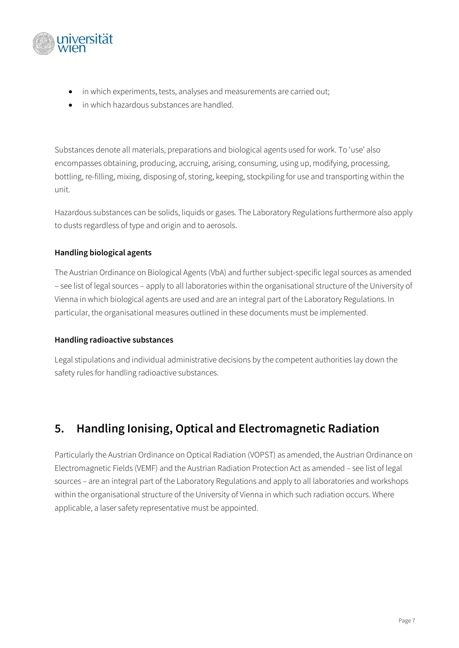

- in which experiments, tests, analyses and measurements are carried out;
- in which hazardous substances are handled.

Substances denote all materials, preparations and biological agents used for work. To 'use' also encompasses obtaining, producing, accruing, arising, consuming, using up, modifying, processing, bottling, re-filling, mixing, disposing of, storing, keeping, stockpiling for use and transporting within the unit.

Hazardous substances can be solids, liquids or gases. The Laboratory Regulations furthermore also apply to dusts regardless of type and origin and to aerosols.

#### **Handling biological agents**

The Austrian Ordinance on Biological Agents (VbA) and further subject-specific legal sources as amended – see list of legal sources – apply to all laboratories within the organisational structure of the University of Vienna in which biological agents are used and are an integral part of the Laboratory Regulations. In particular, the organisational measures outlined in these documents must be implemented.

#### **Handling radioactive substances**

Legal stipulations and individual administrative decisions by the competent authorities lay down the safety rules for handling radioactive substances.

# <span id="page-6-0"></span>**5. Handling Ionising, Optical and Electromagnetic Radiation**

Particularly the Austrian Ordinance on Optical Radiation (VOPST) as amended, the Austrian Ordinance on Electromagnetic Fields (VEMF) and the Austrian Radiation Protection Act as amended – see list of legal sources – are an integral part of the Laboratory Regulations and apply to all laboratories and workshops within the organisational structure of the University of Vienna in which such radiation occurs. Where applicable, a laser safety representative must be appointed.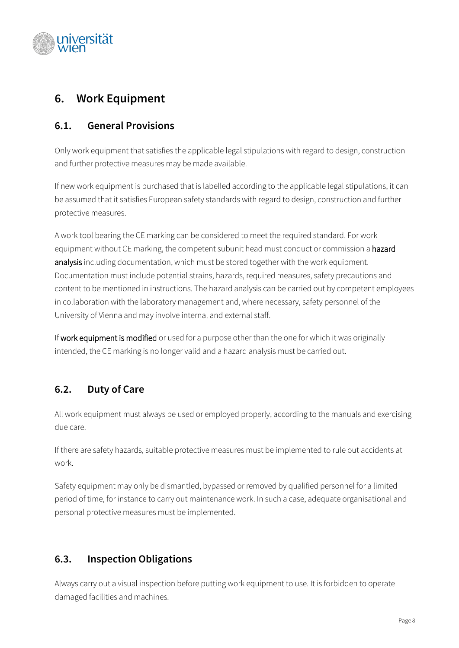

# <span id="page-7-0"></span>**6. Work Equipment**

### <span id="page-7-1"></span>**6.1. General Provisions**

Only work equipment that satisfies the applicable legal stipulations with regard to design, construction and further protective measures may be made available.

If new work equipment is purchased that is labelled according to the applicable legal stipulations, it can be assumed that it satisfies European safety standards with regard to design, construction and further protective measures.

A work tool bearing the CE marking can be considered to meet the required standard. For work equipment without CE marking, the competent subunit head must conduct or commission a hazard analysis including documentation, which must be stored together with the work equipment. Documentation must include potential strains, hazards, required measures, safety precautions and content to be mentioned in instructions. The hazard analysis can be carried out by competent employees in collaboration with the laboratory management and, where necessary, safety personnel of the University of Vienna and may involve internal and external staff.

If work equipment is modified or used for a purpose other than the one for which it was originally intended, the CE marking is no longer valid and a hazard analysis must be carried out.

### <span id="page-7-2"></span>**6.2. Duty of Care**

All work equipment must always be used or employed properly, according to the manuals and exercising due care.

If there are safety hazards, suitable protective measures must be implemented to rule out accidents at work.

Safety equipment may only be dismantled, bypassed or removed by qualified personnel for a limited period of time, for instance to carry out maintenance work. In such a case, adequate organisational and personal protective measures must be implemented.

### <span id="page-7-3"></span>**6.3. Inspection Obligations**

Always carry out a visual inspection before putting work equipment to use. It is forbidden to operate damaged facilities and machines.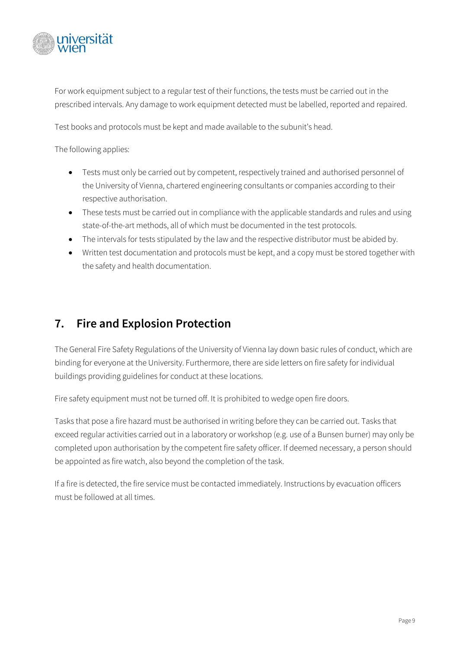

For work equipment subject to a regular test of their functions, the tests must be carried out in the prescribed intervals. Any damage to work equipment detected must be labelled, reported and repaired.

Test books and protocols must be kept and made available to the subunit's head.

The following applies:

- Tests must only be carried out by competent, respectively trained and authorised personnel of the University of Vienna, chartered engineering consultants or companies according to their respective authorisation.
- These tests must be carried out in compliance with the applicable standards and rules and using state-of-the-art methods, all of which must be documented in the test protocols.
- The intervals for tests stipulated by the law and the respective distributor must be abided by.
- Written test documentation and protocols must be kept, and a copy must be stored together with the safety and health documentation.

# <span id="page-8-0"></span>**7. Fire and Explosion Protection**

The General Fire Safety Regulations of the University of Vienna lay down basic rules of conduct, which are binding for everyone at the University. Furthermore, there are side letters on fire safety for individual buildings providing guidelines for conduct at these locations.

Fire safety equipment must not be turned off. It is prohibited to wedge open fire doors.

Tasks that pose a fire hazard must be authorised in writing before they can be carried out. Tasks that exceed regular activities carried out in a laboratory or workshop (e.g. use of a Bunsen burner) may only be completed upon authorisation by the competent fire safety officer. If deemed necessary, a person should be appointed as fire watch, also beyond the completion of the task.

If a fire is detected, the fire service must be contacted immediately. Instructions by evacuation officers must be followed at all times.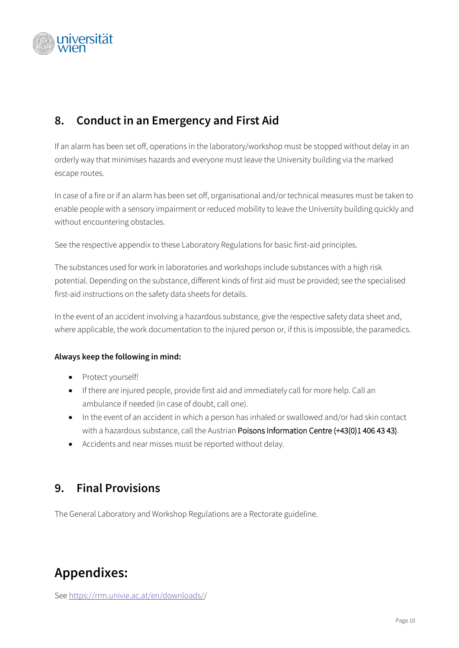

# <span id="page-9-0"></span>**8. Conduct in an Emergency and First Aid**

If an alarm has been set off, operations in the laboratory/workshop must be stopped without delay in an orderly way that minimises hazards and everyone must leave the University building via the marked escape routes.

In case of a fire or if an alarm has been set off, organisational and/or technical measures must be taken to enable people with a sensory impairment or reduced mobility to leave the University building quickly and without encountering obstacles.

See the respective appendix to these Laboratory Regulations for basic first-aid principles.

The substances used for work in laboratories and workshops include substances with a high risk potential. Depending on the substance, different kinds of first aid must be provided; see the specialised first-aid instructions on the safety data sheets for details.

In the event of an accident involving a hazardous substance, give the respective safety data sheet and, where applicable, the work documentation to the injured person or, if this is impossible, the paramedics.

#### **Always keep the following in mind:**

- Protect yourself!
- If there are injured people, provide first aid and immediately call for more help. Call an ambulance if needed (in case of doubt, call one).
- In the event of an accident in which a person has inhaled or swallowed and/or had skin contact with a hazardous substance, call the Austrian Poisons Information Centre (+43(0)1 406 43 43).
- Accidents and near misses must be reported without delay.

### <span id="page-9-1"></span>**9. Final Provisions**

The General Laboratory and Workshop Regulations are a Rectorate guideline.

# **Appendixes:**

Se[e https://rrm.univie.ac.at/en/downloads//](https://rrm.univie.ac.at/en/downloads/)